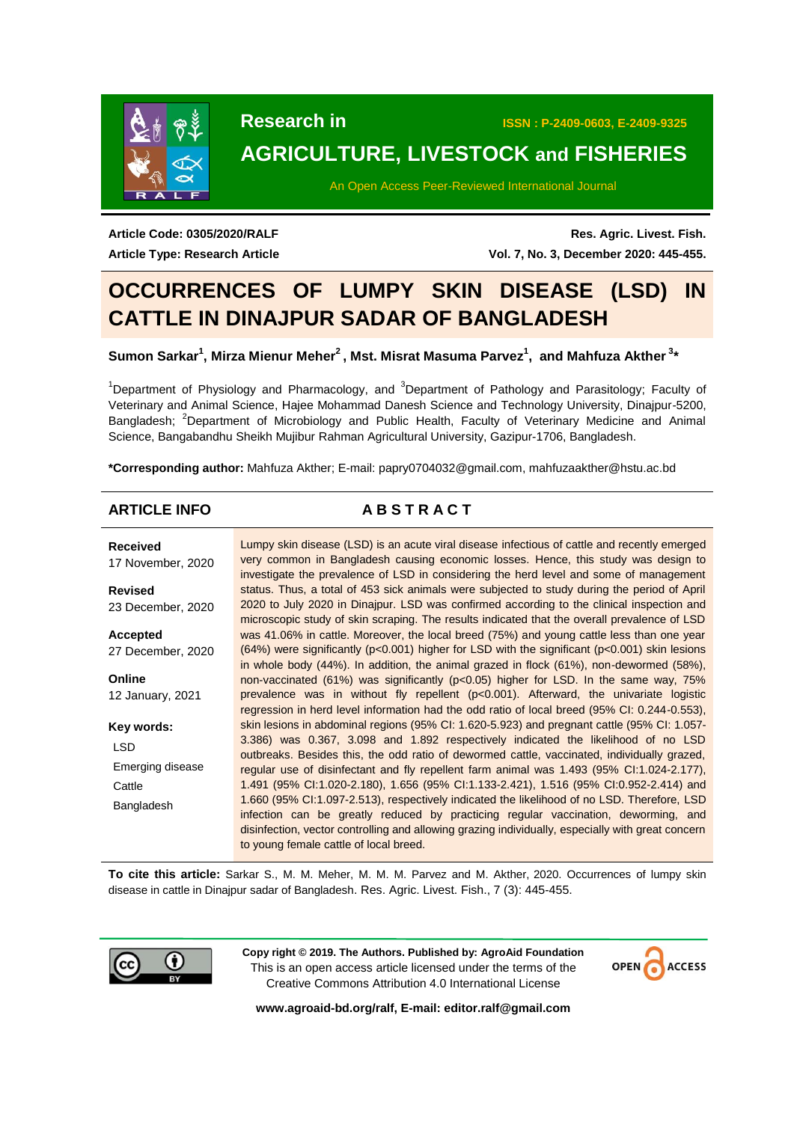

**Research in ISSN : P-2409-0603, E-2409-9325**

# **AGRICULTURE, LIVESTOCK and FISHERIES**

An Open Access Peer-Reviewed International Journal

**Article Code: 0305/2020/RALF Article Type: Research Article**

**Res. Agric. Livest. Fish. Vol. 7, No. 3, December 2020: 445-455.**

# **OCCURRENCES OF LUMPY SKIN DISEASE (LSD) IN CATTLE IN DINAJPUR SADAR OF BANGLADESH**

# Sumon Sarkar<sup>1</sup>, Mirza Mienur Meher<sup>2</sup>, Mst. Misrat Masuma Parvez<sup>1</sup>, and Mahfuza Akther<sup>3</sup>\*

<sup>1</sup>Department of Physiology and Pharmacology, and  $3$ Department of Pathology and Parasitology; Faculty of Veterinary and Animal Science, Hajee Mohammad Danesh Science and Technology University, Dinajpur-5200, Bangladesh; <sup>2</sup>Department of Microbiology and Public Health, Faculty of Veterinary Medicine and Animal Science, Bangabandhu Sheikh Mujibur Rahman Agricultural University, Gazipur-1706, Bangladesh.

**\*Corresponding author:** Mahfuza Akther; E-mail: [papry0704032@gmail.com,](mailto:papry0704032@gmail.com) [mahfuzaakther@hstu.ac.bd](mailto:mahfuzaakther@hstu.ac.bd)

# **ARTICLE INFO A B S T R A C T**

**Received** 17 November, 2020 **Revised** 23 December, 2020 **Accepted** 27 December, 2020 **Online** 12 January, 2021 **Key words:** LSD Emerging disease **Cattle** Bangladesh Lumpy skin disease (LSD) is an acute viral disease infectious of cattle and recently emerged very common in Bangladesh causing economic losses. Hence, this study was design to investigate the prevalence of LSD in considering the herd level and some of management status. Thus, a total of 453 sick animals were subjected to study during the period of April 2020 to July 2020 in Dinajpur. LSD was confirmed according to the clinical inspection and microscopic study of skin scraping. The results indicated that the overall prevalence of LSD was 41.06% in cattle. Moreover, the local breed (75%) and young cattle less than one year (64%) were significantly ( $p$ <0.001) higher for LSD with the significant ( $p$ <0.001) skin lesions in whole body (44%). In addition, the animal grazed in flock (61%), non-dewormed (58%), non-vaccinated (61%) was significantly (p<0.05) higher for LSD. In the same way, 75% prevalence was in without fly repellent (p<0.001). Afterward, the univariate logistic regression in herd level information had the odd ratio of local breed (95% CI: 0.244-0.553), skin lesions in abdominal regions (95% CI: 1.620-5.923) and pregnant cattle (95% CI: 1.057- 3.386) was 0.367, 3.098 and 1.892 respectively indicated the likelihood of no LSD outbreaks. Besides this, the odd ratio of dewormed cattle, vaccinated, individually grazed, regular use of disinfectant and fly repellent farm animal was 1.493 (95% CI:1.024-2.177), 1.491 (95% CI:1.020-2.180), 1.656 (95% CI:1.133-2.421), 1.516 (95% CI:0.952-2.414) and 1.660 (95% CI:1.097-2.513), respectively indicated the likelihood of no LSD. Therefore, LSD infection can be greatly reduced by practicing regular vaccination, deworming, and disinfection, vector controlling and allowing grazing individually, especially with great concern to young female cattle of local breed.

**To cite this article:** Sarkar S., M. M. Meher, M. M. M. Parvez and M. Akther, 2020. Occurrences of lumpy skin disease in cattle in Dinajpur sadar of Bangladesh. Res. Agric. Livest. Fish., 7 (3): 445-455.



**Copy right © 2019. The Authors. Published by: AgroAid Foundation** This is an open access article licensed under the terms of the Creative Commons Attribution 4.0 International License



**[www.agroaid-bd.org/ralf,](http://www.agroaid-bd.org/ralf) E-mail: [editor.ralf@gmail.com](mailto:editor.ralf@gmail.com)**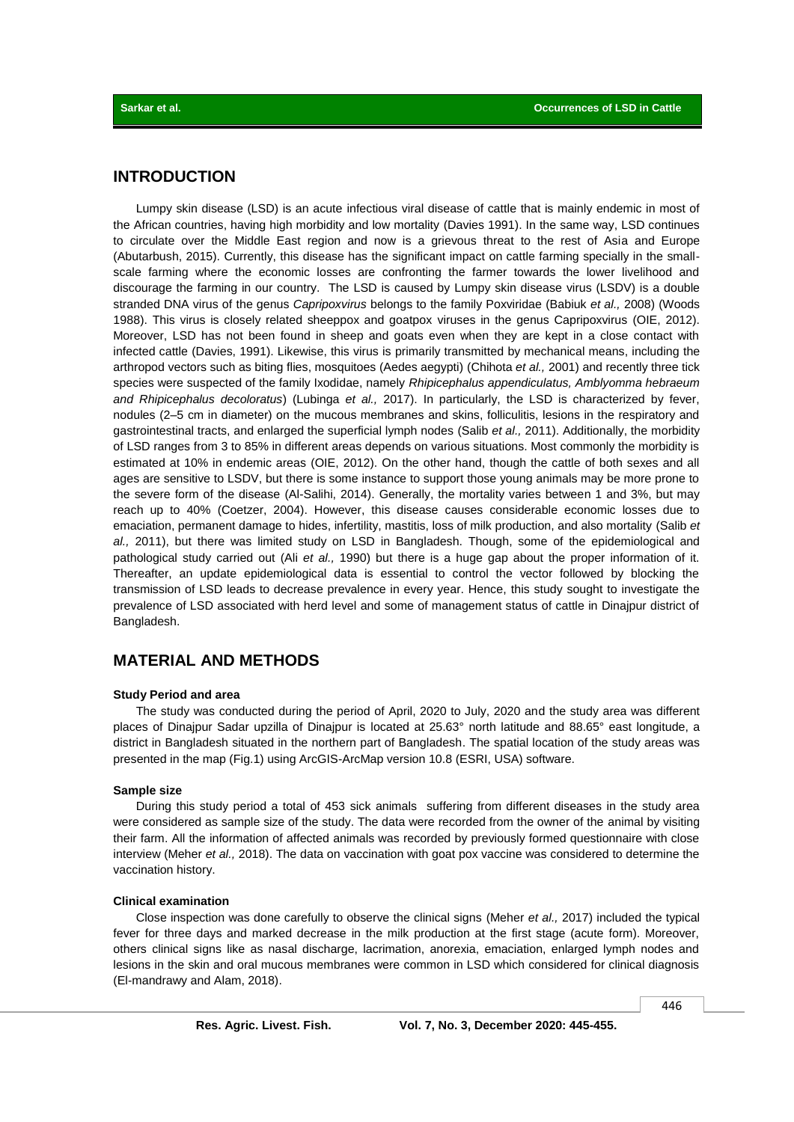## **INTRODUCTION**

Lumpy skin disease (LSD) is an acute infectious viral disease of cattle that is mainly endemic in most of the African countries, having high morbidity and low mortality (Davies 1991). In the same way, LSD continues to circulate over the Middle East region and now is a grievous threat to the rest of Asia and Europe (Abutarbush, 2015). Currently, this disease has the significant impact on cattle farming specially in the smallscale farming where the economic losses are confronting the farmer towards the lower livelihood and discourage the farming in our country. The LSD is caused by Lumpy skin disease virus (LSDV) is a double stranded DNA virus of the genus *Capripoxvirus* belongs to the family Poxviridae (Babiuk *et al.,* 2008) (Woods 1988). This virus is closely related sheeppox and goatpox viruses in the genus Capripoxvirus (OIE, 2012). Moreover, LSD has not been found in sheep and goats even when they are kept in a close contact with infected cattle (Davies, 1991). Likewise, this virus is primarily transmitted by mechanical means, including the arthropod vectors such as biting flies, mosquitoes (Aedes aegypti) (Chihota *et al.,* 2001) and recently three tick species were suspected of the family Ixodidae, namely *Rhipicephalus appendiculatus, Amblyomma hebraeum and Rhipicephalus decoloratus*) (Lubinga *et al.,* 2017). In particularly, the LSD is characterized by fever, nodules (2–5 cm in diameter) on the mucous membranes and skins, folliculitis, lesions in the respiratory and gastrointestinal tracts, and enlarged the superficial lymph nodes (Salib *et al.,* 2011). Additionally, the morbidity of LSD ranges from 3 to 85% in different areas depends on various situations. Most commonly the morbidity is estimated at 10% in endemic areas (OIE, 2012). On the other hand, though the cattle of both sexes and all ages are sensitive to LSDV, but there is some instance to support those young animals may be more prone to the severe form of the disease (Al-Salihi, 2014). Generally, the mortality varies between 1 and 3%, but may reach up to 40% (Coetzer, 2004). However, this disease causes considerable economic losses due to emaciation, permanent damage to hides, infertility, mastitis, loss of milk production, and also mortality (Salib *et al.,* 2011), but there was limited study on LSD in Bangladesh. Though, some of the epidemiological and pathological study carried out (Ali *et al.,* 1990) but there is a huge gap about the proper information of it. Thereafter, an update epidemiological data is essential to control the vector followed by blocking the transmission of LSD leads to decrease prevalence in every year. Hence, this study sought to investigate the prevalence of LSD associated with herd level and some of management status of cattle in Dinajpur district of Bangladesh.

# **MATERIAL AND METHODS**

#### **Study Period and area**

The study was conducted during the period of April, 2020 to July, 2020 and the study area was different places of Dinajpur Sadar upzilla of Dinajpur is located at 25.63° north latitude and 88.65° east longitude, a district in Bangladesh situated in the northern part of Bangladesh. The spatial location of the study areas was presented in the map (Fig.1) using ArcGIS-ArcMap version 10.8 (ESRI, USA) software.

### **Sample size**

During this study period a total of 453 sick animals suffering from different diseases in the study area were considered as sample size of the study. The data were recorded from the owner of the animal by visiting their farm. All the information of affected animals was recorded by previously formed questionnaire with close interview (Meher *et al.,* 2018). The data on vaccination with goat pox vaccine was considered to determine the vaccination history.

#### **Clinical examination**

Close inspection was done carefully to observe the clinical signs (Meher *et al.,* 2017) included the typical fever for three days and marked decrease in the milk production at the first stage (acute form). Moreover, others clinical signs like as nasal discharge, lacrimation, anorexia, emaciation, enlarged lymph nodes and lesions in the skin and oral mucous membranes were common in LSD which considered for clinical diagnosis (El-mandrawy and Alam, 2018).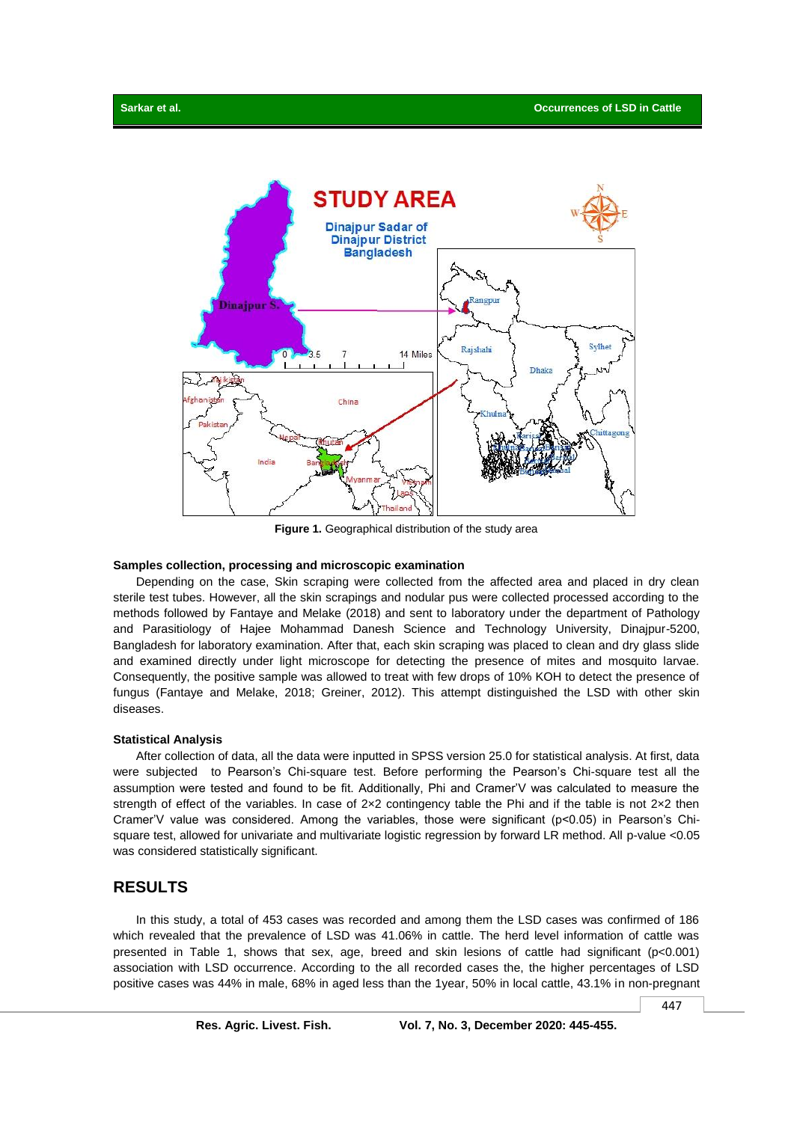

**Figure 1.** Geographical distribution of the study area

### **Samples collection, processing and microscopic examination**

Depending on the case, Skin scraping were collected from the affected area and placed in dry clean sterile test tubes. However, all the skin scrapings and nodular pus were collected processed according to the methods followed by Fantaye and Melake (2018) and sent to laboratory under the department of Pathology and Parasitiology of Hajee Mohammad Danesh Science and Technology University, Dinajpur-5200, Bangladesh for laboratory examination. After that, each skin scraping was placed to clean and dry glass slide and examined directly under light microscope for detecting the presence of mites and mosquito larvae. Consequently, the positive sample was allowed to treat with few drops of 10% KOH to detect the presence of fungus (Fantaye and Melake, 2018; Greiner, 2012). This attempt distinguished the LSD with other skin diseases.

#### **Statistical Analysis**

After collection of data, all the data were inputted in SPSS version 25.0 for statistical analysis. At first, data were subjected to Pearson's Chi-square test. Before performing the Pearson's Chi-square test all the assumption were tested and found to be fit. Additionally, Phi and Cramer'V was calculated to measure the strength of effect of the variables. In case of 2x2 contingency table the Phi and if the table is not 2x2 then Cramer'V value was considered. Among the variables, those were significant (p<0.05) in Pearson's Chisquare test, allowed for univariate and multivariate logistic regression by forward LR method. All p-value <0.05 was considered statistically significant.

# **RESULTS**

In this study, a total of 453 cases was recorded and among them the LSD cases was confirmed of 186 which revealed that the prevalence of LSD was 41.06% in cattle. The herd level information of cattle was presented in Table 1, shows that sex, age, breed and skin lesions of cattle had significant (p<0.001) association with LSD occurrence. According to the all recorded cases the, the higher percentages of LSD positive cases was 44% in male, 68% in aged less than the 1year, 50% in local cattle, 43.1% in non-pregnant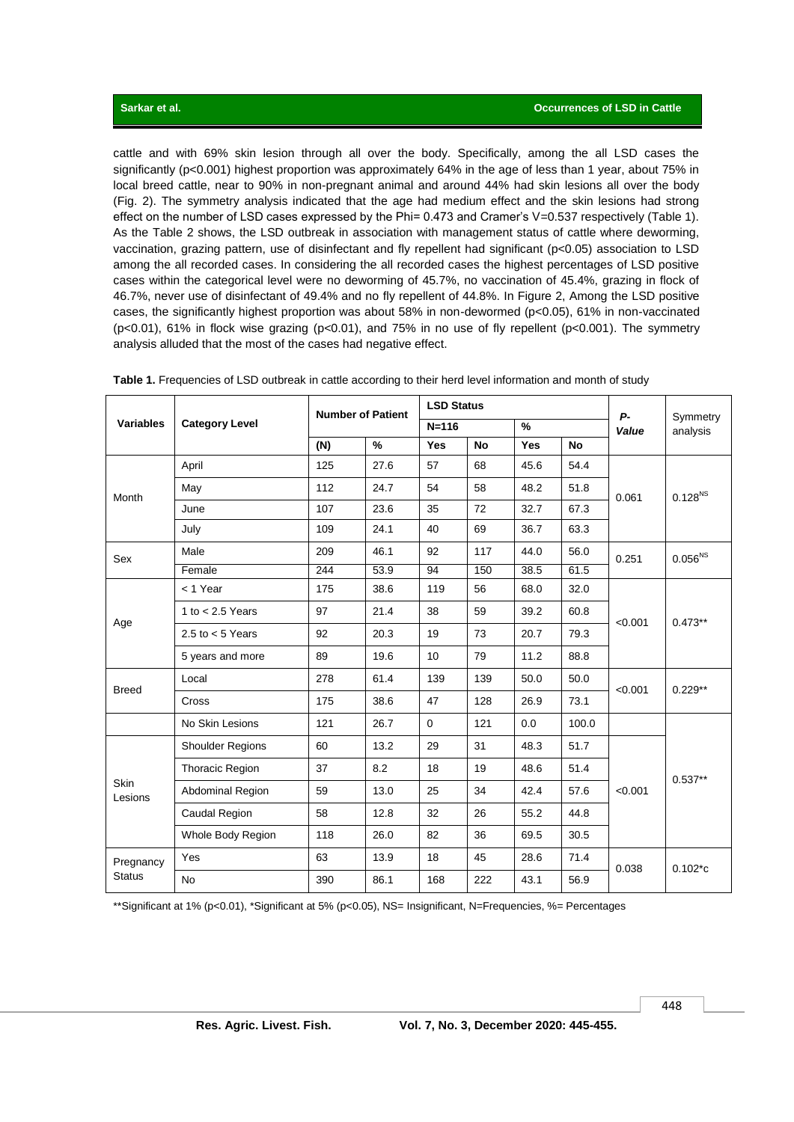cattle and with 69% skin lesion through all over the body. Specifically, among the all LSD cases the significantly (p<0.001) highest proportion was approximately 64% in the age of less than 1 year, about 75% in local breed cattle, near to 90% in non-pregnant animal and around 44% had skin lesions all over the body (Fig. 2). The symmetry analysis indicated that the age had medium effect and the skin lesions had strong effect on the number of LSD cases expressed by the Phi= 0.473 and Cramer's V=0.537 respectively (Table 1). As the Table 2 shows, the LSD outbreak in association with management status of cattle where deworming, vaccination, grazing pattern, use of disinfectant and fly repellent had significant (p<0.05) association to LSD among the all recorded cases. In considering the all recorded cases the highest percentages of LSD positive cases within the categorical level were no deworming of 45.7%, no vaccination of 45.4%, grazing in flock of 46.7%, never use of disinfectant of 49.4% and no fly repellent of 44.8%. In Figure 2, Among the LSD positive cases, the significantly highest proportion was about 58% in non-dewormed (p<0.05), 61% in non-vaccinated (p<0.01), 61% in flock wise grazing (p<0.01), and 75% in no use of fly repellent (p<0.001). The symmetry analysis alluded that the most of the cases had negative effect.

| <b>Variables</b>           |                         | <b>Number of Patient</b> |               | <b>LSD Status</b> |           |            |           | <b>P-</b> |                      |
|----------------------------|-------------------------|--------------------------|---------------|-------------------|-----------|------------|-----------|-----------|----------------------|
|                            | <b>Category Level</b>   |                          |               | $N = 116$         |           | $\%$       |           | Value     | Symmetry<br>analysis |
|                            |                         | (N)                      | $\frac{9}{6}$ | <b>Yes</b>        | <b>No</b> | <b>Yes</b> | <b>No</b> |           |                      |
| Month                      | April                   | 125                      | 27.6          | 57                | 68        | 45.6       | 54.4      |           | $0.128^{NS}$         |
|                            | May                     | 112                      | 24.7          | 54                | 58        | 48.2       | 51.8      | 0.061     |                      |
|                            | June                    | 107                      | 23.6          | 35                | 72        | 32.7       | 67.3      |           |                      |
|                            | July                    | 109                      | 24.1          | 40                | 69        | 36.7       | 63.3      |           |                      |
| Sex                        | Male                    | 209                      | 46.1          | 92                | 117       | 44.0       | 56.0      | 0.251     | 0.056 <sup>NS</sup>  |
|                            | Female                  | 244                      | 53.9          | 94                | 150       | 38.5       | 61.5      |           |                      |
|                            | < 1 Year                | 175                      | 38.6          | 119               | 56        | 68.0       | 32.0      | < 0.001   | $0.473**$            |
|                            | 1 to $< 2.5$ Years      | 97                       | 21.4          | 38                | 59        | 39.2       | 60.8      |           |                      |
| Age                        | 2.5 to $<$ 5 Years      | 92                       | 20.3          | 19                | 73        | 20.7       | 79.3      |           |                      |
|                            | 5 years and more        | 89                       | 19.6          | 10                | 79        | 11.2       | 88.8      |           |                      |
| <b>Breed</b>               | Local                   | 278                      | 61.4          | 139               | 139       | 50.0       | 50.0      | < 0.001   | $0.229**$            |
|                            | <b>Cross</b>            | 175                      | 38.6          | 47                | 128       | 26.9       | 73.1      |           |                      |
|                            | No Skin Lesions         | 121                      | 26.7          | $\Omega$          | 121       | 0.0        | 100.0     |           |                      |
| Skin<br>Lesions            | <b>Shoulder Regions</b> | 60                       | 13.2          | 29                | 31        | 48.3       | 51.7      | < 0.001   | $0.537**$            |
|                            | Thoracic Region         | 37                       | 8.2           | 18                | 19        | 48.6       | 51.4      |           |                      |
|                            | Abdominal Region        | 59                       | 13.0          | 25                | 34        | 42.4       | 57.6      |           |                      |
|                            | Caudal Region           | 58                       | 12.8          | 32                | 26        | 55.2       | 44.8      |           |                      |
|                            | Whole Body Region       | 118                      | 26.0          | 82                | 36        | 69.5       | 30.5      |           |                      |
| Pregnancy<br><b>Status</b> | Yes                     | 63                       | 13.9          | 18                | 45        | 28.6       | 71.4      |           | $0.102*c$            |
|                            | <b>No</b>               | 390                      | 86.1          | 168               | 222       | 43.1       | 56.9      | 0.038     |                      |

**Table 1.** Frequencies of LSD outbreak in cattle according to their herd level information and month of study

\*\*Significant at 1% (p<0.01), \*Significant at 5% (p<0.05), NS= Insignificant, N=Frequencies, %= Percentages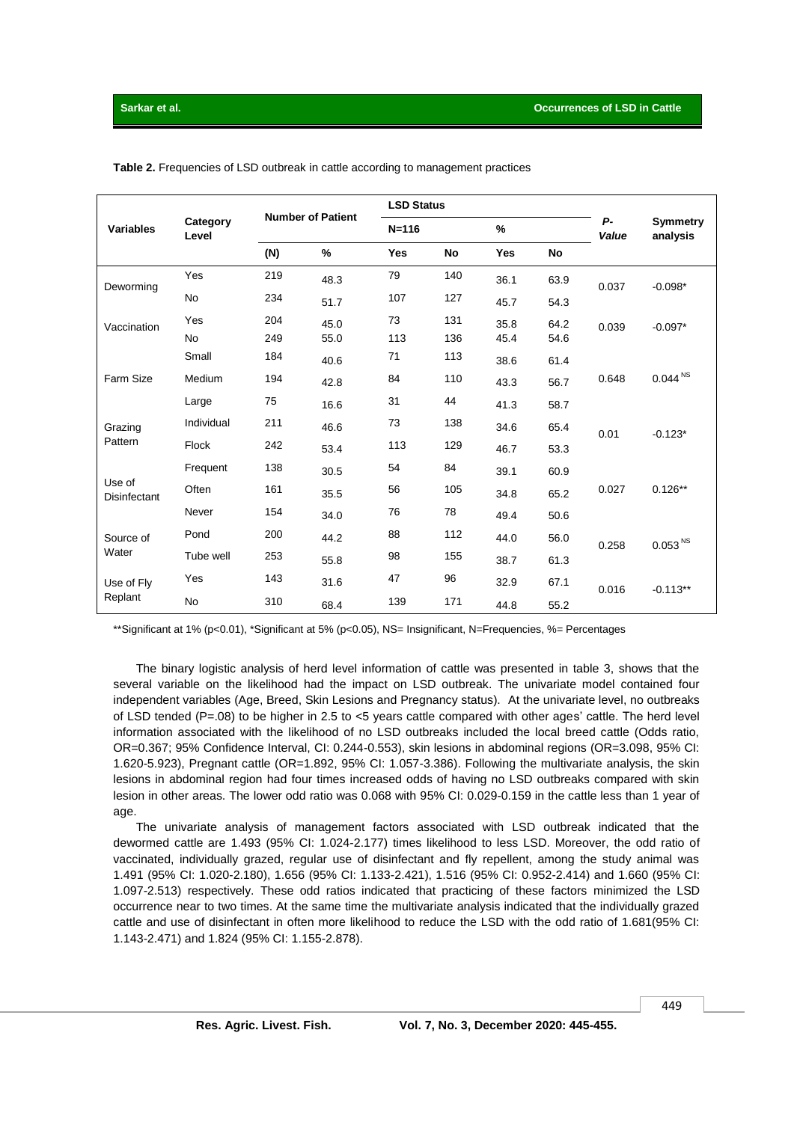| <b>Variables</b>              | Category<br>Level | <b>Number of Patient</b> |      | <b>LSD Status</b> |           |               |           |                    |                             |
|-------------------------------|-------------------|--------------------------|------|-------------------|-----------|---------------|-----------|--------------------|-----------------------------|
|                               |                   |                          |      | $N = 116$         |           | $\frac{9}{6}$ |           | <b>P-</b><br>Value | <b>Symmetry</b><br>analysis |
|                               |                   | (N)                      | %    | <b>Yes</b>        | <b>No</b> | <b>Yes</b>    | <b>No</b> |                    |                             |
| Deworming                     | Yes               | 219                      | 48.3 | 79                | 140       | 36.1          | 63.9      | 0.037              | $-0.098*$                   |
|                               | <b>No</b>         | 234                      | 51.7 | 107               | 127       | 45.7          | 54.3      |                    |                             |
| Vaccination                   | Yes               | 204                      | 45.0 | 73                | 131       | 35.8          | 64.2      | 0.039              | $-0.097*$                   |
|                               | <b>No</b>         | 249                      | 55.0 | 113               | 136       | 45.4          | 54.6      |                    |                             |
| Farm Size                     | Small             | 184                      | 40.6 | 71                | 113       | 38.6          | 61.4      |                    |                             |
|                               | Medium            | 194                      | 42.8 | 84                | 110       | 43.3          | 56.7      | 0.648              | $0.044^{\, \rm NS}$         |
|                               | Large             | 75                       | 16.6 | 31                | 44        | 41.3          | 58.7      |                    |                             |
| Grazing                       | Individual        | 211                      | 46.6 | 73                | 138       | 34.6          | 65.4      | 0.01               | $-0.123*$                   |
| Pattern                       | <b>Flock</b>      | 242                      | 53.4 | 113               | 129       | 46.7          | 53.3      |                    |                             |
| Use of<br><b>Disinfectant</b> | Frequent          | 138                      | 30.5 | 54                | 84        | 39.1          | 60.9      | 0.027              | $0.126**$                   |
|                               | Often             | 161                      | 35.5 | 56                | 105       | 34.8          | 65.2      |                    |                             |
|                               | Never             | 154                      | 34.0 | 76                | 78        | 49.4          | 50.6      |                    |                             |
| Source of<br>Water            | Pond              | 200                      | 44.2 | 88                | 112       | 44.0          | 56.0      | 0.258              | 0.053 <sup>NS</sup>         |
|                               | Tube well         | 253                      | 55.8 | 98                | 155       | 38.7          | 61.3      |                    |                             |
| Use of Fly<br>Replant         | Yes               | 143                      | 31.6 | 47                | 96        | 32.9          | 67.1      | 0.016              | $-0.113**$                  |
|                               | No                | 310                      | 68.4 | 139               | 171       | 44.8          | 55.2      |                    |                             |

**Table 2.** Frequencies of LSD outbreak in cattle according to management practices

\*\*Significant at 1% (p<0.01), \*Significant at 5% (p<0.05), NS= Insignificant, N=Frequencies, %= Percentages

The binary logistic analysis of herd level information of cattle was presented in table 3, shows that the several variable on the likelihood had the impact on LSD outbreak. The univariate model contained four independent variables (Age, Breed, Skin Lesions and Pregnancy status). At the univariate level, no outbreaks of LSD tended (P=.08) to be higher in 2.5 to <5 years cattle compared with other ages' cattle. The herd level information associated with the likelihood of no LSD outbreaks included the local breed cattle (Odds ratio, OR=0.367; 95% Confidence Interval, CI: 0.244-0.553), skin lesions in abdominal regions (OR=3.098, 95% CI: 1.620-5.923), Pregnant cattle (OR=1.892, 95% CI: 1.057-3.386). Following the multivariate analysis, the skin lesions in abdominal region had four times increased odds of having no LSD outbreaks compared with skin lesion in other areas. The lower odd ratio was 0.068 with 95% CI: 0.029-0.159 in the cattle less than 1 year of age.

The univariate analysis of management factors associated with LSD outbreak indicated that the dewormed cattle are 1.493 (95% CI: 1.024-2.177) times likelihood to less LSD. Moreover, the odd ratio of vaccinated, individually grazed, regular use of disinfectant and fly repellent, among the study animal was 1.491 (95% CI: 1.020-2.180), 1.656 (95% CI: 1.133-2.421), 1.516 (95% CI: 0.952-2.414) and 1.660 (95% CI: 1.097-2.513) respectively. These odd ratios indicated that practicing of these factors minimized the LSD occurrence near to two times. At the same time the multivariate analysis indicated that the individually grazed cattle and use of disinfectant in often more likelihood to reduce the LSD with the odd ratio of 1.681(95% CI: 1.143-2.471) and 1.824 (95% CI: 1.155-2.878).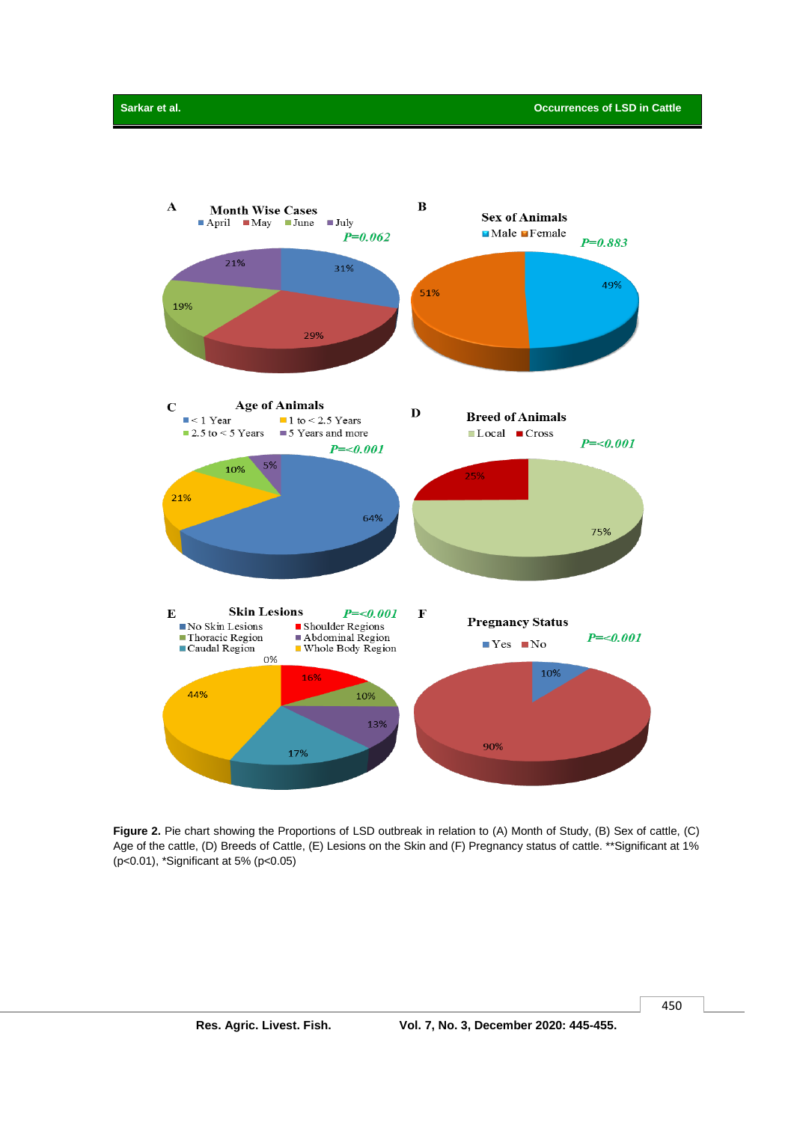

**Figure 2.** Pie chart showing the Proportions of LSD outbreak in relation to (A) Month of Study, (B) Sex of cattle, (C) Age of the cattle, (D) Breeds of Cattle, (E) Lesions on the Skin and (F) Pregnancy status of cattle. \*\*Significant at 1% (p<0.01), \*Significant at 5% (p<0.05)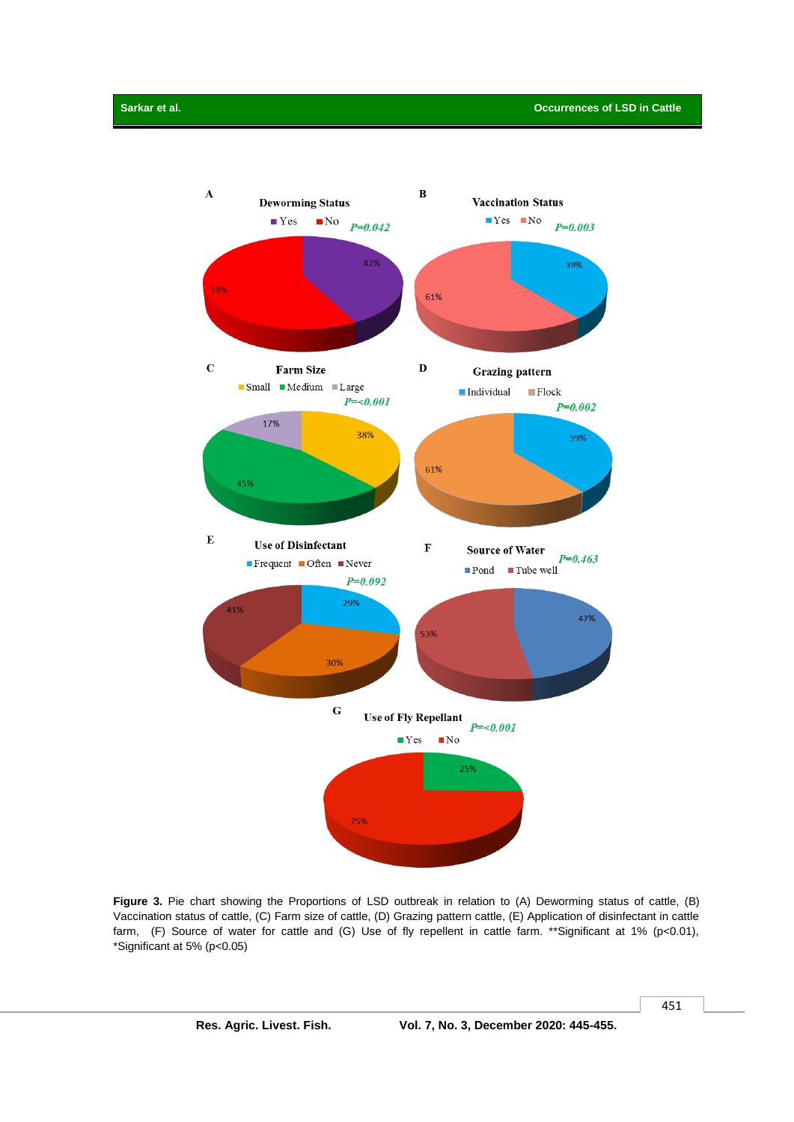

**Figure 3.** Pie chart showing the Proportions of LSD outbreak in relation to (A) Deworming status of cattle, (B) Vaccination status of cattle, (C) Farm size of cattle, (D) Grazing pattern cattle, (E) Application of disinfectant in cattle farm, (F) Source of water for cattle and (G) Use of fly repellent in cattle farm. \*\*Significant at 1% (p<0.01), \*Significant at 5% (p<0.05)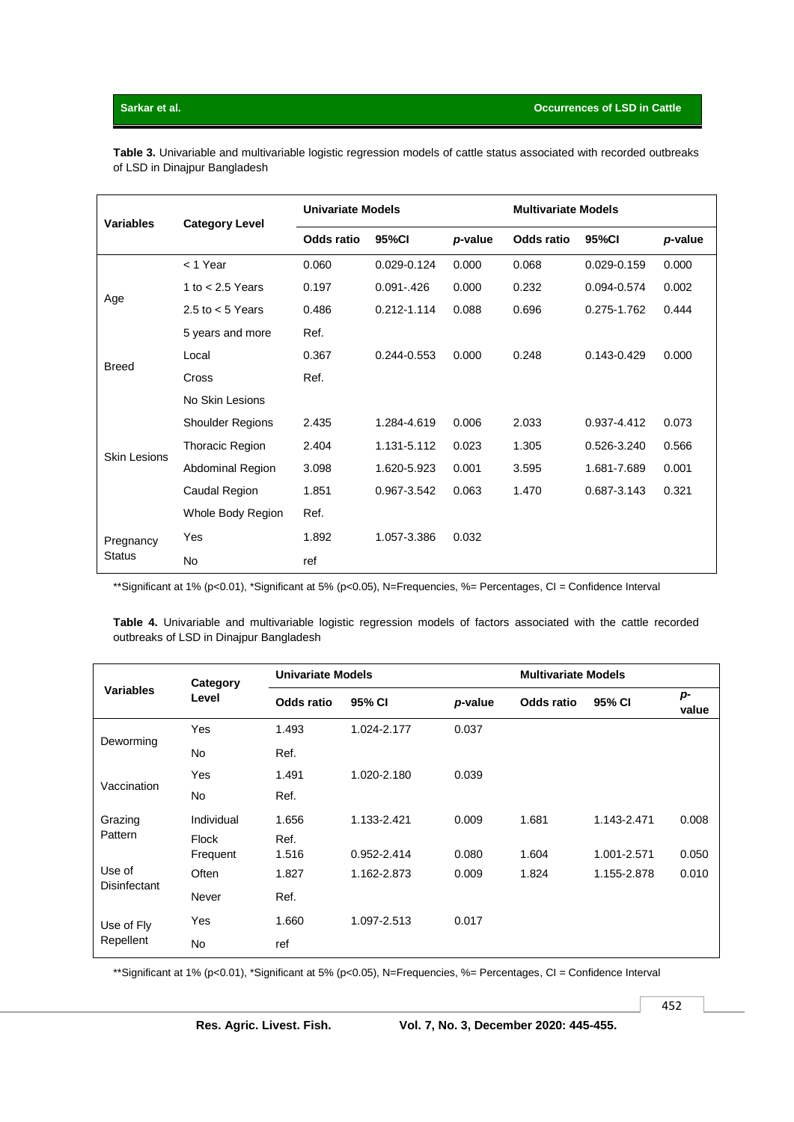**Table 3.** Univariable and multivariable logistic regression models of cattle status associated with recorded outbreaks of LSD in Dinajpur Bangladesh

| <b>Variables</b>           | <b>Category Level</b>   | <b>Univariate Models</b> |                 |         | <b>Multivariate Models</b> |                 |         |
|----------------------------|-------------------------|--------------------------|-----------------|---------|----------------------------|-----------------|---------|
|                            |                         | <b>Odds ratio</b>        | 95%CI           | p-value | <b>Odds ratio</b>          | 95%CI           | p-value |
|                            | < 1 Year                | 0.060                    | $0.029 - 0.124$ | 0.000   | 0.068                      | $0.029 - 0.159$ | 0.000   |
| Age                        | 1 to $<$ 2.5 Years      | 0.197                    | $0.091 - 426$   | 0.000   | 0.232                      | 0.094-0.574     | 0.002   |
|                            | 2.5 to $<$ 5 Years      | 0.486                    | 0.212-1.114     | 0.088   | 0.696                      | 0.275-1.762     | 0.444   |
|                            | 5 years and more        | Ref.                     |                 |         |                            |                 |         |
|                            | Local                   | 0.367                    | 0.244-0.553     | 0.000   | 0.248                      | $0.143 - 0.429$ | 0.000   |
| <b>Breed</b>               | Cross                   | Ref.                     |                 |         |                            |                 |         |
|                            | No Skin Lesions         |                          |                 |         |                            |                 |         |
|                            | <b>Shoulder Regions</b> | 2.435                    | 1.284-4.619     | 0.006   | 2.033                      | 0.937-4.412     | 0.073   |
| <b>Skin Lesions</b>        | <b>Thoracic Region</b>  | 2.404                    | 1.131-5.112     | 0.023   | 1.305                      | 0.526-3.240     | 0.566   |
|                            | Abdominal Region        | 3.098                    | 1.620-5.923     | 0.001   | 3.595                      | 1.681-7.689     | 0.001   |
|                            | Caudal Region           | 1.851                    | 0.967-3.542     | 0.063   | 1.470                      | 0.687-3.143     | 0.321   |
|                            | Whole Body Region       | Ref.                     |                 |         |                            |                 |         |
| Pregnancy<br><b>Status</b> | Yes                     | 1.892                    | 1.057-3.386     | 0.032   |                            |                 |         |
|                            | No                      | ref                      |                 |         |                            |                 |         |

\*\*Significant at 1% (p<0.01), \*Significant at 5% (p<0.05), N=Frequencies, %= Percentages, CI = Confidence Interval

**Table 4.** Univariable and multivariable logistic regression models of factors associated with the cattle recorded outbreaks of LSD in Dinajpur Bangladesh

|                     | Category<br>Level | <b>Univariate Models</b> |             | <b>Multivariate Models</b> |                   |             |               |
|---------------------|-------------------|--------------------------|-------------|----------------------------|-------------------|-------------|---------------|
| <b>Variables</b>    |                   | <b>Odds ratio</b>        | 95% CI      | p-value                    | <b>Odds ratio</b> | 95% CI      | $p-$<br>value |
|                     | Yes               | 1.493                    | 1.024-2.177 | 0.037                      |                   |             |               |
| Deworming           | No                | Ref.                     |             |                            |                   |             |               |
|                     | Yes               | 1.491                    | 1.020-2.180 | 0.039                      |                   |             |               |
| Vaccination         | No                | Ref.                     |             |                            |                   |             |               |
| Grazing             | Individual        | 1.656                    | 1.133-2.421 | 0.009                      | 1.681             | 1.143-2.471 | 0.008         |
| Pattern             | Flock<br>Frequent | Ref.<br>1.516            | 0.952-2.414 | 0.080                      | 1.604             | 1.001-2.571 | 0.050         |
| Use of              | <b>Often</b>      | 1.827                    | 1.162-2.873 | 0.009                      | 1.824             | 1.155-2.878 | 0.010         |
| <b>Disinfectant</b> | Never             | Ref.                     |             |                            |                   |             |               |
| Use of Fly          | Yes               | 1.660                    | 1.097-2.513 | 0.017                      |                   |             |               |
| Repellent           | <b>No</b>         | ref                      |             |                            |                   |             |               |

\*\*Significant at 1% (p<0.01), \*Significant at 5% (p<0.05), N=Frequencies, %= Percentages, CI = Confidence Interval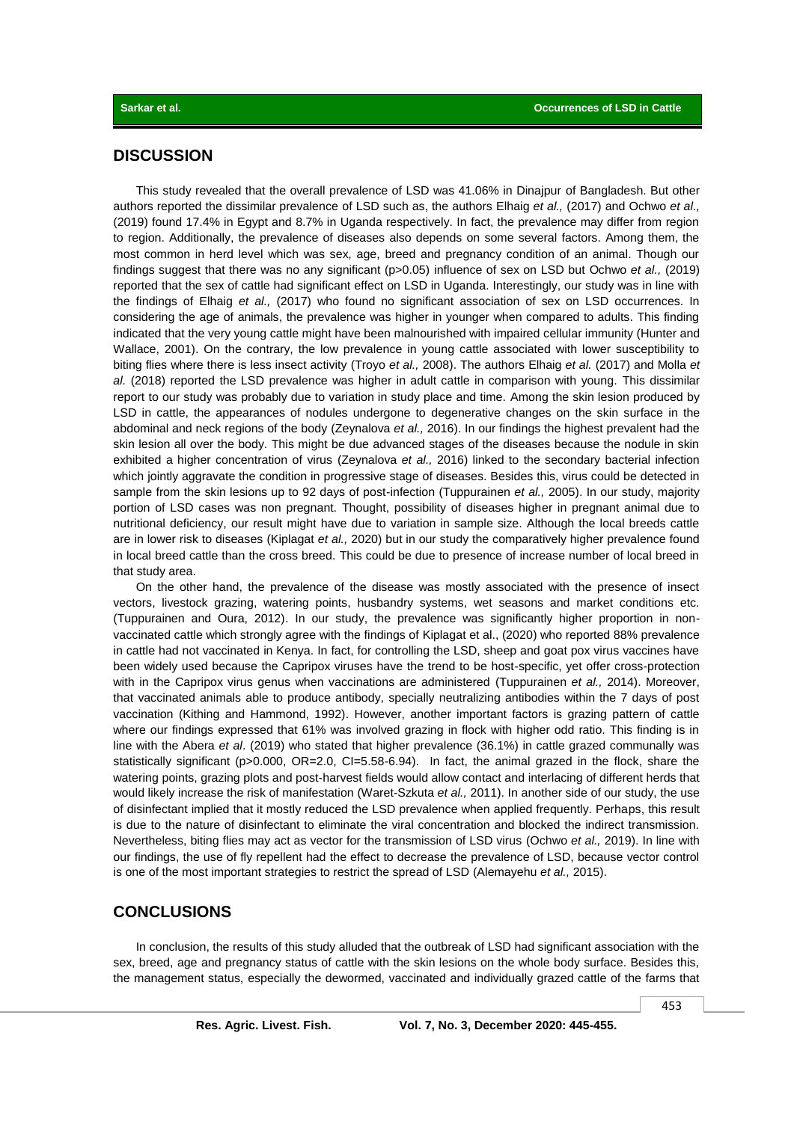## **DISCUSSION**

This study revealed that the overall prevalence of LSD was 41.06% in Dinajpur of Bangladesh. But other authors reported the dissimilar prevalence of LSD such as, the authors Elhaig *et al.,* (2017) and Ochwo *et al.,* (2019) found 17.4% in Egypt and 8.7% in Uganda respectively. In fact, the prevalence may differ from region to region. Additionally, the prevalence of diseases also depends on some several factors. Among them, the most common in herd level which was sex, age, breed and pregnancy condition of an animal. Though our findings suggest that there was no any significant (p>0.05) influence of sex on LSD but Ochwo *et al.,* (2019) reported that the sex of cattle had significant effect on LSD in Uganda. Interestingly, our study was in line with the findings of Elhaig *et al.,* (2017) who found no significant association of sex on LSD occurrences. In considering the age of animals, the prevalence was higher in younger when compared to adults. This finding indicated that the very young cattle might have been malnourished with impaired cellular immunity (Hunter and Wallace, 2001). On the contrary, the low prevalence in young cattle associated with lower susceptibility to biting flies where there is less insect activity (Troyo *et al.,* 2008). The authors Elhaig *et al.* (2017) and Molla *et al.* (2018) reported the LSD prevalence was higher in adult cattle in comparison with young. This dissimilar report to our study was probably due to variation in study place and time. Among the skin lesion produced by LSD in cattle, the appearances of nodules undergone to degenerative changes on the skin surface in the abdominal and neck regions of the body (Zeynalova *et al.,* 2016). In our findings the highest prevalent had the skin lesion all over the body. This might be due advanced stages of the diseases because the nodule in skin exhibited a higher concentration of virus (Zeynalova *et al.,* 2016) linked to the secondary bacterial infection which jointly aggravate the condition in progressive stage of diseases. Besides this, virus could be detected in sample from the skin lesions up to 92 days of post-infection (Tuppurainen *et al.,* 2005). In our study, majority portion of LSD cases was non pregnant. Thought, possibility of diseases higher in pregnant animal due to nutritional deficiency, our result might have due to variation in sample size. Although the local breeds cattle are in lower risk to diseases (Kiplagat *et al.,* 2020) but in our study the comparatively higher prevalence found in local breed cattle than the cross breed. This could be due to presence of increase number of local breed in that study area.

On the other hand, the prevalence of the disease was mostly associated with the presence of insect vectors, livestock grazing, watering points, husbandry systems, wet seasons and market conditions etc. (Tuppurainen and Oura, 2012). In our study, the prevalence was significantly higher proportion in nonvaccinated cattle which strongly agree with the findings of Kiplagat et al., (2020) who reported 88% prevalence in cattle had not vaccinated in Kenya. In fact, for controlling the LSD, sheep and goat pox virus vaccines have been widely used because the Capripox viruses have the trend to be host-specific, yet offer cross-protection with in the Capripox virus genus when vaccinations are administered (Tuppurainen *et al.,* 2014). Moreover, that vaccinated animals able to produce antibody, specially neutralizing antibodies within the 7 days of post vaccination (Kithing and Hammond, 1992). However, another important factors is grazing pattern of cattle where our findings expressed that 61% was involved grazing in flock with higher odd ratio. This finding is in line with the Abera *et al*. (2019) who stated that higher prevalence (36.1%) in cattle grazed communally was statistically significant (p>0.000, OR=2.0, CI=5.58-6.94). In fact, the animal grazed in the flock, share the watering points, grazing plots and post-harvest fields would allow contact and interlacing of different herds that would likely increase the risk of manifestation (Waret-Szkuta *et al.,* 2011). In another side of our study, the use of disinfectant implied that it mostly reduced the LSD prevalence when applied frequently. Perhaps, this result is due to the nature of disinfectant to eliminate the viral concentration and blocked the indirect transmission. Nevertheless, biting flies may act as vector for the transmission of LSD virus (Ochwo *et al.,* 2019). In line with our findings, the use of fly repellent had the effect to decrease the prevalence of LSD, because vector control is one of the most important strategies to restrict the spread of LSD (Alemayehu *et al.,* 2015).

# **CONCLUSIONS**

In conclusion, the results of this study alluded that the outbreak of LSD had significant association with the sex, breed, age and pregnancy status of cattle with the skin lesions on the whole body surface. Besides this, the management status, especially the dewormed, vaccinated and individually grazed cattle of the farms that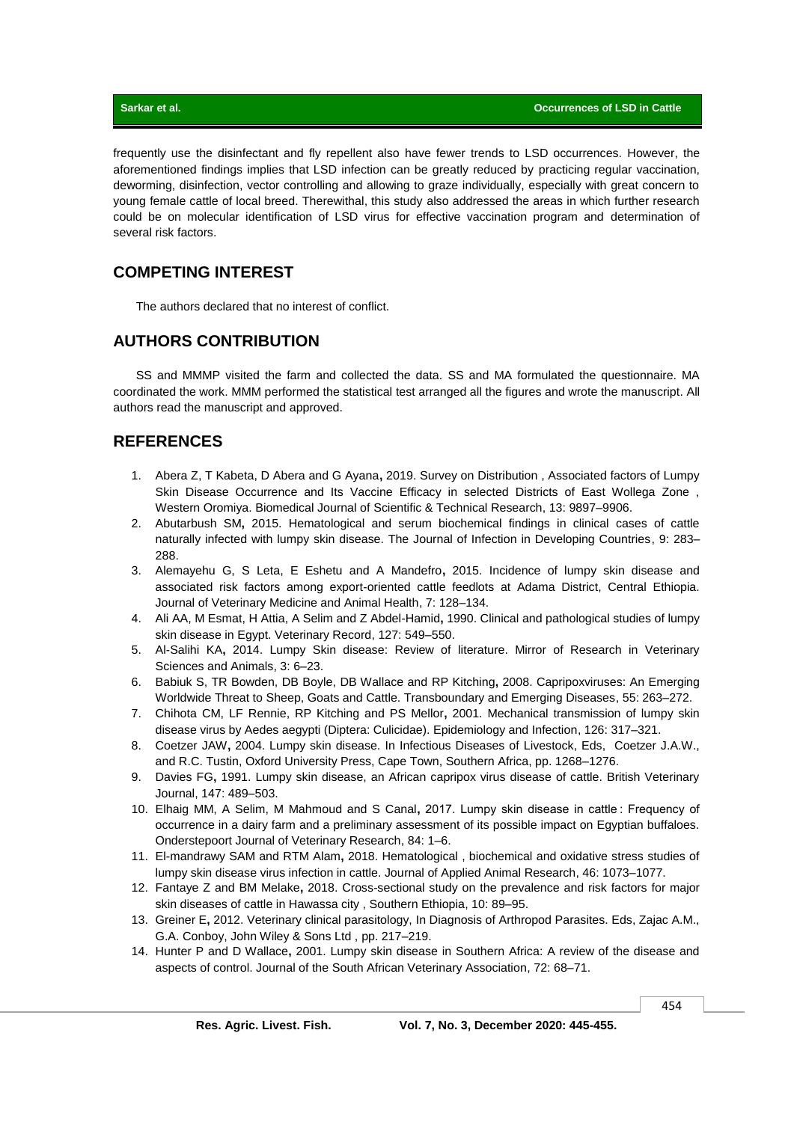frequently use the disinfectant and fly repellent also have fewer trends to LSD occurrences. However, the aforementioned findings implies that LSD infection can be greatly reduced by practicing regular vaccination, deworming, disinfection, vector controlling and allowing to graze individually, especially with great concern to young female cattle of local breed. Therewithal, this study also addressed the areas in which further research could be on molecular identification of LSD virus for effective vaccination program and determination of several risk factors.

# **COMPETING INTEREST**

The authors declared that no interest of conflict.

# **AUTHORS CONTRIBUTION**

SS and MMMP visited the farm and collected the data. SS and MA formulated the questionnaire. MA coordinated the work. MMM performed the statistical test arranged all the figures and wrote the manuscript. All authors read the manuscript and approved.

# **REFERENCES**

- 1. Abera Z, T Kabeta, D Abera and G Ayana**,** 2019. Survey on Distribution , Associated factors of Lumpy Skin Disease Occurrence and Its Vaccine Efficacy in selected Districts of East Wollega Zone , Western Oromiya. Biomedical Journal of Scientific & Technical Research, 13: 9897–9906.
- 2. Abutarbush SM**,** 2015. Hematological and serum biochemical findings in clinical cases of cattle naturally infected with lumpy skin disease. The Journal of Infection in Developing Countries, 9: 283– 288.
- 3. Alemayehu G, S Leta, E Eshetu and A Mandefro**,** 2015. Incidence of lumpy skin disease and associated risk factors among export-oriented cattle feedlots at Adama District, Central Ethiopia. Journal of Veterinary Medicine and Animal Health, 7: 128–134.
- 4. Ali AA, M Esmat, H Attia, A Selim and Z Abdel-Hamid**,** 1990. Clinical and pathological studies of lumpy skin disease in Egypt. Veterinary Record, 127: 549–550.
- 5. Al-Salihi KA**,** 2014. Lumpy Skin disease: Review of literature. Mirror of Research in Veterinary Sciences and Animals, 3: 6–23.
- 6. Babiuk S, TR Bowden, DB Boyle, DB Wallace and RP Kitching**,** 2008. Capripoxviruses: An Emerging Worldwide Threat to Sheep, Goats and Cattle. Transboundary and Emerging Diseases, 55: 263–272.
- 7. Chihota CM, LF Rennie, RP Kitching and PS Mellor**,** 2001. Mechanical transmission of lumpy skin disease virus by Aedes aegypti (Diptera: Culicidae). Epidemiology and Infection, 126: 317–321.
- 8. Coetzer JAW**,** 2004. Lumpy skin disease. In Infectious Diseases of Livestock, Eds, Coetzer J.A.W., and R.C. Tustin, Oxford University Press, Cape Town, Southern Africa, pp. 1268–1276.
- 9. Davies FG**,** 1991. Lumpy skin disease, an African capripox virus disease of cattle. British Veterinary Journal, 147: 489–503.
- 10. Elhaig MM, A Selim, M Mahmoud and S Canal**,** 2017. Lumpy skin disease in cattle : Frequency of occurrence in a dairy farm and a preliminary assessment of its possible impact on Egyptian buffaloes. Onderstepoort Journal of Veterinary Research, 84: 1–6.
- 11. El-mandrawy SAM and RTM Alam**,** 2018. Hematological , biochemical and oxidative stress studies of lumpy skin disease virus infection in cattle. Journal of Applied Animal Research, 46: 1073–1077.
- 12. Fantaye Z and BM Melake**,** 2018. Cross-sectional study on the prevalence and risk factors for major skin diseases of cattle in Hawassa city , Southern Ethiopia, 10: 89–95.
- 13. Greiner E**,** 2012. Veterinary clinical parasitology, In Diagnosis of Arthropod Parasites. Eds, Zajac A.M., G.A. Conboy, John Wiley & Sons Ltd , pp. 217–219.
- 14. Hunter P and D Wallace**,** 2001. Lumpy skin disease in Southern Africa: A review of the disease and aspects of control. Journal of the South African Veterinary Association, 72: 68–71.